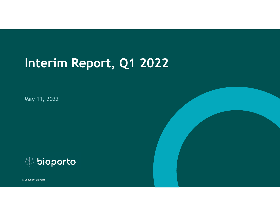# **Interim Report, Q1 2022**

May 11, 2022

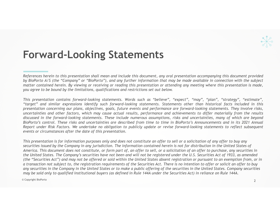#### **Forward-Looking Statements**

References herein to this presentation shall mean and include this document, any oral presentation accompanying this document provided by BioPorto A/S (the "Company" or "BioPorto"), and any further information that may be made available in connection with the subject matter contained herein. By viewing or receiving or reading this presentation or attending any meeting where this presentation is made, you agree to be bound by the limitations, qualifications and restrictions set out below.

This presentation contains forward-looking statements. Words such as "believe", "expect", "may", "plan", "strategy", "estimate", "target" and similar expressions identify such forward-looking statements. Statements other than historical facts included in this presentation concerning our plans, objectives, goals, future events and performance are forward-looking statements. They involve risks, uncertainties and other factors, which may cause actual results, performance and achievements to differ materially from the results discussed in the forward-looking statements. These include numerous assumptions, risks and uncertainties, many of which are beyond BioPorto's control. These risks and uncertainties are described from time to time in BioPorto's Announcements and in its 2021 Annual Report under Risk Factors. We undertake no obligation to publicly update or revise forward-looking statements to reflect subsequent *events or circumstances after the date of this presentation.*

*This presentation is for information purposes only and does not constitute an offer to sell or a solicitation of any offer to buy any securities issued by the Company in any jurisdiction. The information contained herein is not for distribution in the United States of America. This document does not constitute, or form part of, an offer to sell, or a solicitation of an offer to purchase, any securities in the United States. The Company's securities have not been and will not be registered under the U.S. Securities Act of 1933, as amended (the "Securities Act") and may not be offered or sold within the United States absent registration or pursuant to an exemption from, or in a transaction not subject to, the registration requirements of the Securities Act. There is no intention to offer or solicit an offer to buy any securities in the Company in the United States or to make a public offering of the securities in the United States. Company securities may be sold only to qualified institutional buyers (as defined in Rule 144A under the Securities Act) in reliance on Rule 144A.*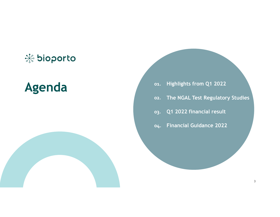## **染 bioporto**

# **Agenda 01.**

**Highlights from Q1 2022 The NGAL Test Regulatory Studies Q1 2022 financial result Financial Guidance 2022 04.02. 03.**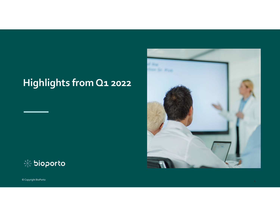# **Highlights from Q1 <sup>2022</sup>**



© Copyright BioPorto  $\circ$  Copyright BioPorto  $_4$ 

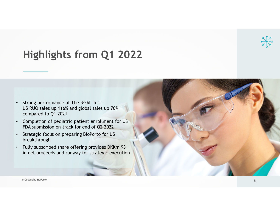# **Highlights from Q1 2022**



- • Strong performance of The NGAL Test – US RUO sales up 116% and global sales up 70% compared to Q1 2021
- • Completion of pediatric patient enrollment for US FDA submission on-track for end of Q2 2022
- • Strategic focus on preparing BioPorto for US breakthrough
- • Fully subscribed share offering provides DKKm 93 in net proceeds and runway for strategic execution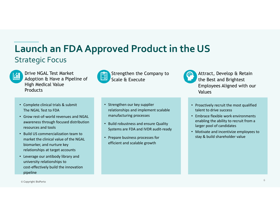#### **Launch an FDAApproved Product in the US** Strategic Focus



Drive NGAL Test MarketAdoption & Have a Pipeline of High Medical Value **Products** 



Attract, Develop & Retain the Best and Brightest Employees Aligned with our Values

- Complete clinical trials & submit The NGAL Test to FDA
- Grow rest‐of‐world revenues and NGAL awareness through focused distribution resources and tools
- Build US commercialization team to market the clinical value of the NGAL biomarker, and nurture key relationships at target accounts
- Leverage our antibody library and university relationships to cost‐effectively build the innovation pipeline

• Strengthen our key supplier relationships and implement scalable manufacturing processes

- Build robustness and ensure Quality Systems are FDA and IVDR audit‐ready
- Prepare business processes for efficient and scalable growth
- Proactively recruit the most qualified talent to drive success
- Embrace flexible work environments enabling the ability to recruit from <sup>a</sup> larger pool of candidates
- Motivate and incentivize employees to stay & build shareholder value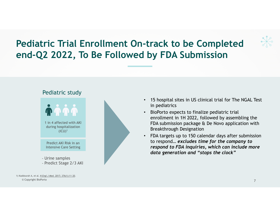# **Pediatric Trial Enrollment On-track to be Completed end-Q2 2022, To Be Followed by FDA Submission**

#### Pediatric study





- • 15 hospital sites in US clinical trial for The NGAL Test in pediatrics
- • BioPorto expects to finalize pediatric trial enrollment in 1H 2022, followed by assembling the FDA submission package & De Novo application with Breakthrough Designation
- • FDA targets up to 150 calendar days after submission to respond… *excludes time for the company to respond to FDA inquiries, which can include more data generation and "stops the clock"*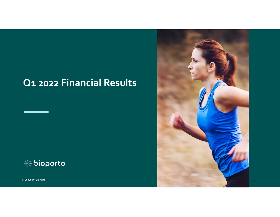## **Q1 2022 Financial Results**



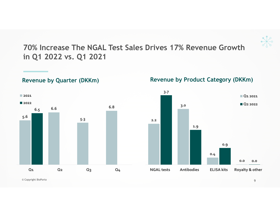

**70% Increase The NGAL Test Sales Drives 17% Revenue Growth in Q1 2022 vs. Q1 2021**



**Revenue by Quarter (DKKm)**

**Revenue by Product Category (DKKm)**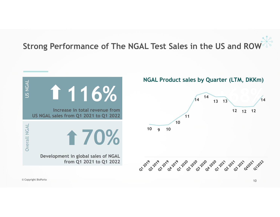# **Strong Performance of The NGAL Test Sales in the US and ROW**

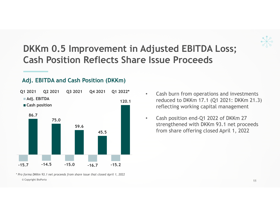## **DKKm 0.5 Improvement in Adjusted EBITDA Loss; Cash Position Reflects Share Issue Proceeds**

#### **Adj. EBITDA and Cash Position (DKKm)**



© Copyright BioPorto 2008 Protocol 2009 Protocol 2009 Protocol 2009 Protocol 2009 Protocol 2009 Protocol 2009 Protocol 2009 Protocol 2009 Protocol 2009 Protocol 2009 Protocol 2009 Protocol 2009 Protocol 2009 Protocol 2009 *\* Pro forma DKKm 93.1 net proceeds from share issue that closed April 1, 2022*

- • Cash burn from operations and investments reduced to DKKm 17.1 (Q1 2021: DKKm 21.3) reflecting working capital management
- $\bullet$  Cash position end-Q1 2022 of DKKm 27 strengthened with DKKm 93.1 net proceeds from share offering closed April 1, 2022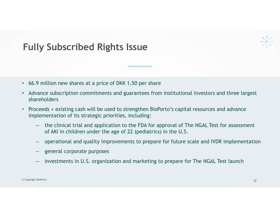#### **Fully Subscribed Rights Issue**

- •66.9 million new shares at a price of DKK 1.50 per share
- • Advance subscription commitments and guarantees from institutional investors and three largest shareholders
- • Proceeds + existing cash will be used to strengthen BioPorto's capital resources and advance implementation of its strategic priorities, including:
	- – the clinical trial and application to the FDA for approval of The NGAL Test for assessment of AKI in children under the age of 22 (pediatrics) in the U.S.
	- operational and quality improvements to prepare for future scale and IVDR implementation
	- general corporate purposes
	- investments in U.S. organization and marketing to prepare for The NGAL Test launch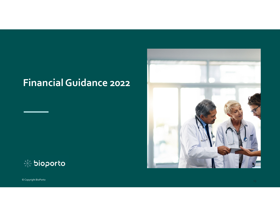# **FinancialGuidance 2022**





© Copyright BioPorto © Copyright BioPorto  $\frac{1}{13}$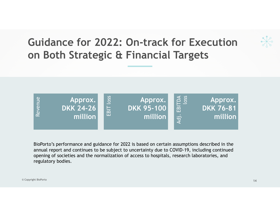# **Guidance for 2022: On-track for Execution on Both Strategic & Financial Targets**



BioPorto's performance and guidance for 2022 is based on certain assumptions described in the annual report and continues to be subject to uncertainty due to COVID-19, including continued opening of societies and the normalization of access to hospitals, research laboratories, and regulatory bodies.